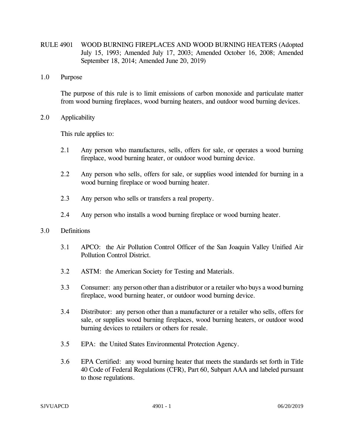- RULE 4901 WOOD BURNING FIREPLACES AND WOOD BURNING HEATERS (Adopted July 15, 1993; Amended July 17, 2003; Amended October 16, 2008; Amended September 18, 2014; Amended June 20, 2019)
- 1.0 Purpose

The purpose of this rule is to limit emissions of carbon monoxide and particulate matter from wood burning fireplaces, wood burning heaters, and outdoor wood burning devices.

2.0 Applicability

This rule applies to:

- 2.1 Any person who manufactures, sells, offers for sale, or operates a wood burning fireplace, wood burning heater, or outdoor wood burning device.
- 2.2 Any person who sells, offers for sale, or supplies wood intended for burning in a wood burning fireplace or wood burning heater.
- 2.3 Any person who sells or transfers a real property.
- 2.4 Any person who installs a wood burning fireplace or wood burning heater.

## 3.0 Definitions

- 3.1 APCO: the Air Pollution Control Officer of the San Joaquin Valley Unified Air Pollution Control District.
- 3.2 ASTM: the American Society for Testing and Materials.
- 3.3 Consumer: any person other than a distributor or a retailer who buys a wood burning fireplace, wood burning heater, or outdoor wood burning device.
- 3.4 Distributor: any person other than a manufacturer or a retailer who sells, offers for sale, or supplies wood burning fireplaces, wood burning heaters, or outdoor wood burning devices to retailers or others for resale.
- 3.5 EPA: the United States Environmental Protection Agency.
- 3.6 EPA Certified: any wood burning heater that meets the standards set forth in Title 40 Code of Federal Regulations (CFR), Part 60, Subpart AAA and labeled pursuant to those regulations.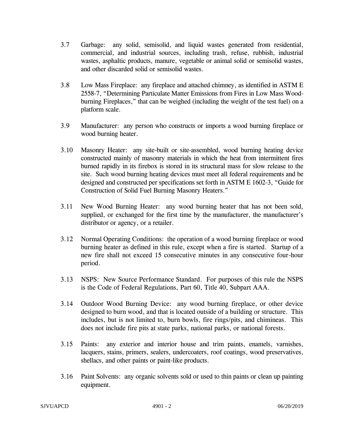- 3.7 Garbage: any solid, semisolid, and liquid wastes generated from residential, commercial, and industrial sources, including trash, refuse, rubbish, industrial wastes, asphaltic products, manure, vegetable or animal solid or semisolid wastes, and other discarded solid or semisolid wastes.
- 3.8 Low Mass Fireplace: any fireplace and attached chimney, as identified in ASTM E 2558-7, "Determining Particulate Matter Emissions from Fires in Low Mass Woodburning Fireplaces," that can be weighed (including the weight of the test fuel) on a platform scale.
- 3.9 Manufacturer: any person who constructs or imports a wood burning fireplace or wood burning heater.
- 3.10 Masonry Heater: any site-built or site-assembled, wood burning heating device constructed mainly of masonry materials in which the heat from intermittent fires burned rapidly in its firebox is stored in its structural mass for slow release to the site. Such wood burning heating devices must meet all federal requirements and be designed and constructed per specifications set forth in ASTM E 1602-3, "Guide for Construction of Solid Fuel Burning Masonry Heaters."
- 3.11 New Wood Burning Heater: any wood burning heater that has not been sold, supplied, or exchanged for the first time by the manufacturer, the manufacturer's distributor or agency, or a retailer.
- 3.12 Normal Operating Conditions: the operation of a wood burning fireplace or wood burning heater as defined in this rule, except when a fire is started. Startup of a new fire shall not exceed 15 consecutive minutes in any consecutive four-hour period.
- 3.13 NSPS: New Source Performance Standard. For purposes of this rule the NSPS is the Code of Federal Regulations, Part 60, Title 40, Subpart AAA.
- 3.14 Outdoor Wood Burning Device: any wood burning fireplace, or other device designed to burn wood, and that is located outside of a building or structure. This includes, but is not limited to, burn bowls, fire rings/pits, and chimineas. This does not include fire pits at state parks, national parks, or national forests.
- 3.15 Paints: any exterior and interior house and trim paints, enamels, varnishes, lacquers, stains, primers, sealers, undercoaters, roof coatings, wood preservatives, shellacs, and other paints or paint-like products.
- 3.16 Paint Solvents: any organic solvents sold or used to thin paints or clean up painting equipment.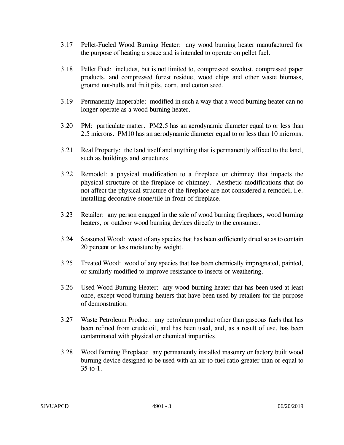- 3.17 Pellet-Fueled Wood Burning Heater: any wood burning heater manufactured for the purpose of heating a space and is intended to operate on pellet fuel.
- 3.18 Pellet Fuel: includes, but is not limited to, compressed sawdust, compressed paper products, and compressed forest residue, wood chips and other waste biomass, ground nut-hulls and fruit pits, corn, and cotton seed.
- 3.19 Permanently Inoperable: modified in such a way that a wood burning heater can no longer operate as a wood burning heater.
- 3.20 PM: particulate matter. PM2.5 has an aerodynamic diameter equal to or less than 2.5 microns. PM10 has an aerodynamic diameter equal to or less than 10 microns.
- 3.21 Real Property: the land itself and anything that is permanently affixed to the land, such as buildings and structures.
- 3.22 Remodel: a physical modification to a fireplace or chimney that impacts the physical structure of the fireplace or chimney. Aesthetic modifications that do not affect the physical structure of the fireplace are not considered a remodel, i.e. installing decorative stone/tile in front of fireplace.
- 3.23 Retailer: any person engaged in the sale of wood burning fireplaces, wood burning heaters, or outdoor wood burning devices directly to the consumer.
- 3.24 Seasoned Wood: wood of any species that has been sufficiently dried so as to contain 20 percent or less moisture by weight.
- 3.25 Treated Wood: wood of any species that has been chemically impregnated, painted, or similarly modified to improve resistance to insects or weathering.
- 3.26 Used Wood Burning Heater: any wood burning heater that has been used at least once, except wood burning heaters that have been used by retailers for the purpose of demonstration.
- 3.27 Waste Petroleum Product: any petroleum product other than gaseous fuels that has been refined from crude oil, and has been used, and, as a result of use, has been contaminated with physical or chemical impurities.
- 3.28 Wood Burning Fireplace: any permanently installed masonry or factory built wood burning device designed to be used with an air-to-fuel ratio greater than or equal to 35-to-1.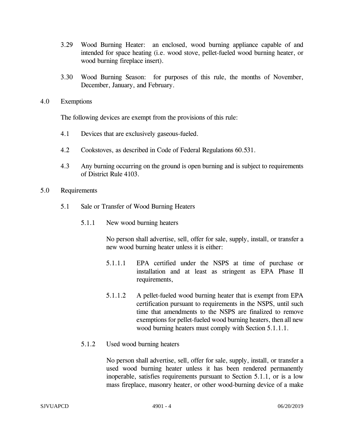- 3.29 Wood Burning Heater: an enclosed, wood burning appliance capable of and intended for space heating (i.e. wood stove, pellet-fueled wood burning heater, or wood burning fireplace insert).
- 3.30 Wood Burning Season: for purposes of this rule, the months of November, December, January, and February.
- 4.0 Exemptions

The following devices are exempt from the provisions of this rule:

- 4.1 Devices that are exclusively gaseous-fueled.
- 4.2 Cookstoves, as described in Code of Federal Regulations 60.531.
- 4.3 Any burning occurring on the ground is open burning and is subject to requirements of District Rule 4103.
- 5.0 Requirements
	- 5.1 Sale or Transfer of Wood Burning Heaters
		- 5.1.1 New wood burning heaters

No person shall advertise, sell, offer for sale, supply, install, or transfer a new wood burning heater unless it is either:

- 5.1.1.1 EPA certified under the NSPS at time of purchase or installation and at least as stringent as EPA Phase II requirements,
- 5.1.1.2 A pellet-fueled wood burning heater that is exempt from EPA certification pursuant to requirements in the NSPS, until such time that amendments to the NSPS are finalized to remove exemptions for pellet-fueled wood burning heaters, then all new wood burning heaters must comply with Section 5.1.1.1.
- 5.1.2 Used wood burning heaters

No person shall advertise, sell, offer for sale, supply, install, or transfer a used wood burning heater unless it has been rendered permanently inoperable, satisfies requirements pursuant to Section 5.1.1, or is a low mass fireplace, masonry heater, or other wood-burning device of a make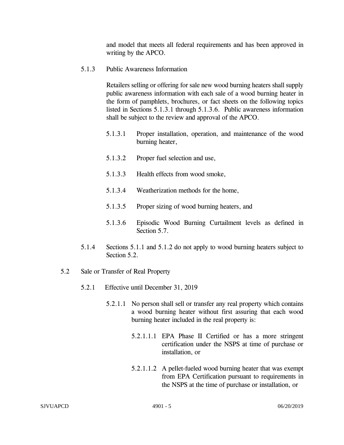and model that meets all federal requirements and has been approved in writing by the APCO.

5.1.3 Public Awareness Information

Retailers selling or offering for sale new wood burning heaters shall supply public awareness information with each sale of a wood burning heater in the form of pamphlets, brochures, or fact sheets on the following topics listed in Sections 5.1.3.1 through 5.1.3.6. Public awareness information shall be subject to the review and approval of the APCO.

- 5.1.3.1 Proper installation, operation, and maintenance of the wood burning heater,
- 5.1.3.2 Proper fuel selection and use,
- 5.1.3.3 Health effects from wood smoke,
- 5.1.3.4 Weatherization methods for the home,
- 5.1.3.5 Proper sizing of wood burning heaters, and
- 5.1.3.6 Episodic Wood Burning Curtailment levels as defined in Section 5.7.
- 5.1.4 Sections 5.1.1 and 5.1.2 do not apply to wood burning heaters subject to Section 5.2.
- 5.2 Sale or Transfer of Real Property
	- 5.2.1 Effective until December 31, 2019
		- 5.2.1.1 No person shall sell or transfer any real property which contains a wood burning heater without first assuring that each wood burning heater included in the real property is:
			- 5.2.1.1.1 EPA Phase II Certified or has a more stringent certification under the NSPS at time of purchase or installation, or
			- 5.2.1.1.2 A pellet-fueled wood burning heater that was exempt from EPA Certification pursuant to requirements in the NSPS at the time of purchase or installation, or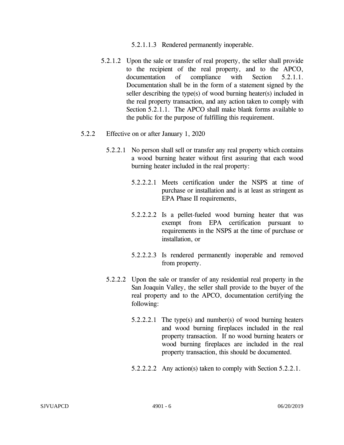- 5.2.1.1.3 Rendered permanently inoperable.
- 5.2.1.2 Upon the sale or transfer of real property, the seller shall provide to the recipient of the real property, and to the APCO, documentation of compliance with Section 5.2.1.1. Documentation shall be in the form of a statement signed by the seller describing the type(s) of wood burning heater(s) included in the real property transaction, and any action taken to comply with Section 5.2.1.1. The APCO shall make blank forms available to the public for the purpose of fulfilling this requirement.
- 5.2.2 Effective on or after January 1, 2020
	- 5.2.2.1 No person shall sell or transfer any real property which contains a wood burning heater without first assuring that each wood burning heater included in the real property:
		- 5.2.2.2.1 Meets certification under the NSPS at time of purchase or installation and is at least as stringent as EPA Phase II requirements,
		- 5.2.2.2.2 Is a pellet-fueled wood burning heater that was exempt from EPA certification pursuant to requirements in the NSPS at the time of purchase or installation, or
		- 5.2.2.2.3 Is rendered permanently inoperable and removed from property.
	- 5.2.2.2 Upon the sale or transfer of any residential real property in the San Joaquin Valley, the seller shall provide to the buyer of the real property and to the APCO, documentation certifying the following:
		- 5.2.2.2.1 The type(s) and number(s) of wood burning heaters and wood burning fireplaces included in the real property transaction. If no wood burning heaters or wood burning fireplaces are included in the real property transaction, this should be documented.
		- 5.2.2.2.2 Any action(s) taken to comply with Section 5.2.2.1.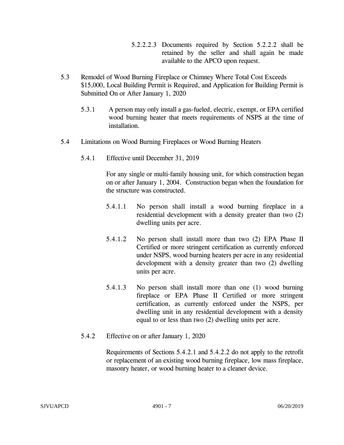- 5.2.2.2.3 Documents required by Section 5.2.2.2 shall be retained by the seller and shall again be made available to the APCO upon request.
- 5.3 Remodel of Wood Burning Fireplace or Chimney Where Total Cost Exceeds \$15,000, Local Building Permit is Required, and Application for Building Permit is Submitted On or After January 1, 2020
	- 5.3.1 A person may only install a gas-fueled, electric, exempt, or EPA certified wood burning heater that meets requirements of NSPS at the time of installation.
- 5.4 Limitations on Wood Burning Fireplaces or Wood Burning Heaters
	- 5.4.1 Effective until December 31, 2019

For any single or multi-family housing unit, for which construction began on or after January 1, 2004. Construction began when the foundation for the structure was constructed.

- 5.4.1.1 No person shall install a wood burning fireplace in a residential development with a density greater than two (2) dwelling units per acre.
- 5.4.1.2 No person shall install more than two (2) EPA Phase II Certified or more stringent certification as currently enforced under NSPS, wood burning heaters per acre in any residential development with a density greater than two (2) dwelling units per acre.
- 5.4.1.3 No person shall install more than one (1) wood burning fireplace or EPA Phase II Certified or more stringent certification, as currently enforced under the NSPS, per dwelling unit in any residential development with a density equal to or less than two (2) dwelling units per acre.
- 5.4.2 Effective on or after January 1, 2020

Requirements of Sections 5.4.2.1 and 5.4.2.2 do not apply to the retrofit or replacement of an existing wood burning fireplace, low mass fireplace, masonry heater, or wood burning heater to a cleaner device.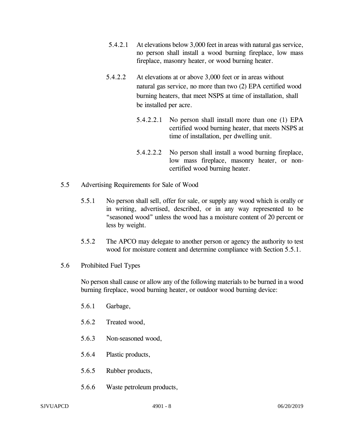- 5.4.2.1 At elevations below 3,000 feet in areas with natural gas service, no person shall install a wood burning fireplace, low mass fireplace, masonry heater, or wood burning heater.
- 5.4.2.2 At elevations at or above 3,000 feet or in areas without natural gas service, no more than two (2) EPA certified wood burning heaters, that meet NSPS at time of installation, shall be installed per acre.
	- 5.4.2.2.1 No person shall install more than one (1) EPA certified wood burning heater, that meets NSPS at time of installation, per dwelling unit.
	- 5.4.2.2.2 No person shall install a wood burning fireplace, low mass fireplace, masonry heater, or noncertified wood burning heater.
- 5.5 Advertising Requirements for Sale of Wood
	- 5.5.1 No person shall sell, offer for sale, or supply any wood which is orally or in writing, advertised, described, or in any way represented to be "seasoned wood" unless the wood has a moisture content of 20 percent or less by weight.
	- 5.5.2 The APCO may delegate to another person or agency the authority to test wood for moisture content and determine compliance with Section 5.5.1.
- 5.6 Prohibited Fuel Types

No person shall cause or allow any of the following materials to be burned in a wood burning fireplace, wood burning heater, or outdoor wood burning device:

- 5.6.1 Garbage,
- 5.6.2 Treated wood,
- 5.6.3 Non-seasoned wood,
- 5.6.4 Plastic products,
- 5.6.5 Rubber products,
- 5.6.6 Waste petroleum products,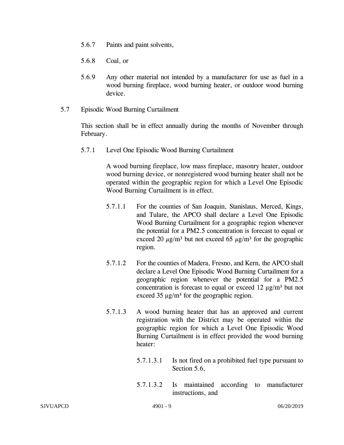- 5.6.7 Paints and paint solvents,
- 5.6.8 Coal, or
- 5.6.9 Any other material not intended by a manufacturer for use as fuel in a wood burning fireplace, wood burning heater, or outdoor wood burning device.
- 5.7 Episodic Wood Burning Curtailment

This section shall be in effect annually during the months of November through February.

5.7.1 Level One Episodic Wood Burning Curtailment

A wood burning fireplace, low mass fireplace, masonry heater, outdoor wood burning device, or nonregistered wood burning heater shall not be operated within the geographic region for which a Level One Episodic Wood Burning Curtailment is in effect.

- 5.7.1.1 For the counties of San Joaquin, Stanislaus, Merced, Kings, and Tulare, the APCO shall declare a Level One Episodic Wood Burning Curtailment for a geographic region whenever the potential for a PM2.5 concentration is forecast to equal or exceed 20  $\mu$ g/m<sup>3</sup> but not exceed 65  $\mu$ g/m<sup>3</sup> for the geographic region.
- 5.7.1.2 For the counties of Madera, Fresno, and Kern, the APCO shall declare a Level One Episodic Wood Burning Curtailment for a geographic region whenever the potential for a PM2.5 concentration is forecast to equal or exceed 12  $\mu$ g/m<sup>3</sup> but not exceed 35  $\mu$ g/m<sup>3</sup> for the geographic region.
- 5.7.1.3 A wood burning heater that has an approved and current registration with the District may be operated within the geographic region for which a Level One Episodic Wood Burning Curtailment is in effect provided the wood burning heater:
	- 5.7.1.3.1 Is not fired on a prohibited fuel type pursuant to Section 5.6,
	- 5.7.1.3.2 Is maintained according to manufacturer instructions, and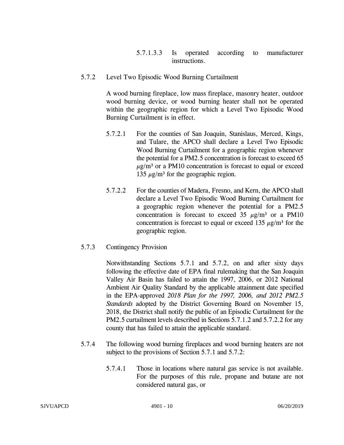- 5.7.1.3.3 Is operated according to manufacturer instructions.
- 5.7.2 Level Two Episodic Wood Burning Curtailment

A wood burning fireplace, low mass fireplace, masonry heater, outdoor wood burning device, or wood burning heater shall not be operated within the geographic region for which a Level Two Episodic Wood Burning Curtailment is in effect.

- 5.7.2.1 For the counties of San Joaquin, Stanislaus, Merced, Kings, and Tulare, the APCO shall declare a Level Two Episodic Wood Burning Curtailment for a geographic region whenever the potential for a PM2.5 concentration is forecast to exceed 65  $\mu$ g/m<sup>3</sup> or a PM10 concentration is forecast to equal or exceed 135  $\mu$ g/m<sup>3</sup> for the geographic region.
- 5.7.2.2 For the counties of Madera, Fresno, and Kern, the APCO shall declare a Level Two Episodic Wood Burning Curtailment for a geographic region whenever the potential for a PM2.5 concentration is forecast to exceed 35  $\mu$ g/m<sup>3</sup> or a PM10 concentration is forecast to equal or exceed 135  $\mu$ g/m<sup>3</sup> for the geographic region.
- 5.7.3 Contingency Provision

Notwithstanding Sections 5.7.1 and 5.7.2, on and after sixty days following the effective date of EPA final rulemaking that the San Joaquin Valley Air Basin has failed to attain the 1997, 2006, or 2012 National Ambient Air Quality Standard by the applicable attainment date specified in the EPA-approved *2018 Plan for the 1997, 2006, and 2012 PM2.5 Standards* adopted by the District Governing Board on November 15, 2018, the District shall notify the public of an Episodic Curtailment for the PM2.5 curtailment levels described in Sections 5.7.1.2 and 5.7.2.2 for any county that has failed to attain the applicable standard.

- 5.7.4 The following wood burning fireplaces and wood burning heaters are not subject to the provisions of Section 5.7.1 and 5.7.2:
	- 5.7.4.1 Those in locations where natural gas service is not available. For the purposes of this rule, propane and butane are not considered natural gas, or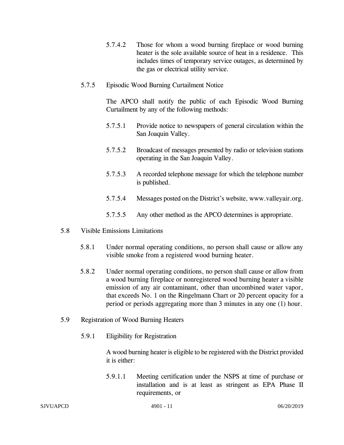- 5.7.4.2 Those for whom a wood burning fireplace or wood burning heater is the sole available source of heat in a residence. This includes times of temporary service outages, as determined by the gas or electrical utility service.
- 5.7.5 Episodic Wood Burning Curtailment Notice

The APCO shall notify the public of each Episodic Wood Burning Curtailment by any of the following methods:

- 5.7.5.1 Provide notice to newspapers of general circulation within the San Joaquin Valley.
- 5.7.5.2 Broadcast of messages presented by radio or television stations operating in the San Joaquin Valley.
- 5.7.5.3 A recorded telephone message for which the telephone number is published.
- 5.7.5.4 Messages posted on the District's website, [www.valleyair.org.](http://www.valleyair.org/)
- 5.7.5.5 Any other method as the APCO determines is appropriate.
- 5.8 Visible Emissions Limitations
	- 5.8.1 Under normal operating conditions, no person shall cause or allow any visible smoke from a registered wood burning heater.
	- 5.8.2 Under normal operating conditions, no person shall cause or allow from a wood burning fireplace or nonregistered wood burning heater a visible emission of any air contaminant, other than uncombined water vapor, that exceeds No. 1 on the Ringelmann Chart or 20 percent opacity for a period or periods aggregating more than 3 minutes in any one (1) hour.
- 5.9 Registration of Wood Burning Heaters
	- 5.9.1 Eligibility for Registration

A wood burning heater is eligible to be registered with the District provided it is either:

5.9.1.1 Meeting certification under the NSPS at time of purchase or installation and is at least as stringent as EPA Phase II requirements, or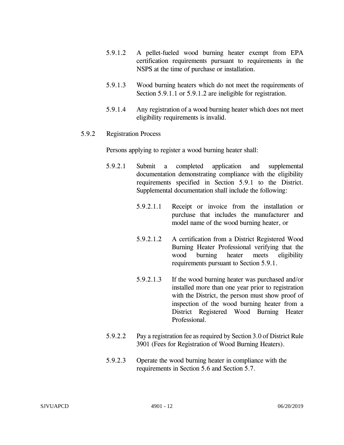- 5.9.1.2 A pellet-fueled wood burning heater exempt from EPA certification requirements pursuant to requirements in the NSPS at the time of purchase or installation.
- 5.9.1.3 Wood burning heaters which do not meet the requirements of Section 5.9.1.1 or 5.9.1.2 are ineligible for registration.
- 5.9.1.4 Any registration of a wood burning heater which does not meet eligibility requirements is invalid.

## 5.9.2 Registration Process

Persons applying to register a wood burning heater shall:

- 5.9.2.1 Submit a completed application and supplemental documentation demonstrating compliance with the eligibility requirements specified in Section 5.9.1 to the District. Supplemental documentation shall include the following:
	- 5.9.2.1.1 Receipt or invoice from the installation or purchase that includes the manufacturer and model name of the wood burning heater, or
	- 5.9.2.1.2 A certification from a District Registered Wood Burning Heater Professional verifying that the wood burning heater meets eligibility requirements pursuant to Section 5.9.1.
	- 5.9.2.1.3 If the wood burning heater was purchased and/or installed more than one year prior to registration with the District, the person must show proof of inspection of the wood burning heater from a District Registered Wood Burning Heater Professional.
- 5.9.2.2 Pay a registration fee as required by Section 3.0 of District Rule 3901 (Fees for Registration of Wood Burning Heaters).
- 5.9.2.3 Operate the wood burning heater in compliance with the requirements in Section 5.6 and Section 5.7.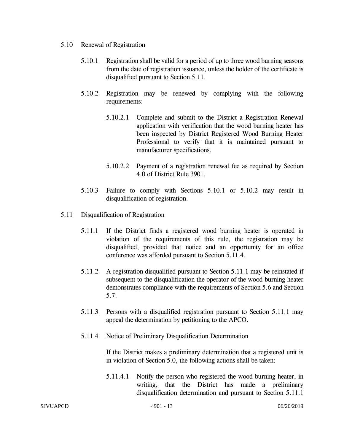- 5.10 Renewal of Registration
	- 5.10.1 Registration shall be valid for a period of up to three wood burning seasons from the date of registration issuance, unless the holder of the certificate is disqualified pursuant to Section 5.11.
	- 5.10.2 Registration may be renewed by complying with the following requirements:
		- 5.10.2.1 Complete and submit to the District a Registration Renewal application with verification that the wood burning heater has been inspected by District Registered Wood Burning Heater Professional to verify that it is maintained pursuant to manufacturer specifications.
		- 5.10.2.2 Payment of a registration renewal fee as required by Section 4.0 of District Rule 3901.
	- 5.10.3 Failure to comply with Sections 5.10.1 or 5.10.2 may result in disqualification of registration.
- 5.11 Disqualification of Registration
	- 5.11.1 If the District finds a registered wood burning heater is operated in violation of the requirements of this rule, the registration may be disqualified, provided that notice and an opportunity for an office conference was afforded pursuant to Section 5.11.4.
	- 5.11.2 A registration disqualified pursuant to Section 5.11.1 may be reinstated if subsequent to the disqualification the operator of the wood burning heater demonstrates compliance with the requirements of Section 5.6 and Section 5.7.
	- 5.11.3 Persons with a disqualified registration pursuant to Section 5.11.1 may appeal the determination by petitioning to the APCO.
	- 5.11.4 Notice of Preliminary Disqualification Determination

If the District makes a preliminary determination that a registered unit is in violation of Section 5.0, the following actions shall be taken:

5.11.4.1 Notify the person who registered the wood burning heater, in writing, that the District has made a preliminary disqualification determination and pursuant to Section 5.11.1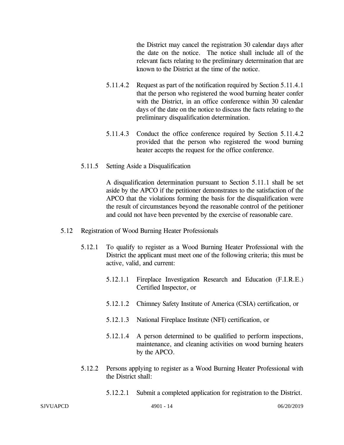the District may cancel the registration 30 calendar days after the date on the notice. The notice shall include all of the relevant facts relating to the preliminary determination that are known to the District at the time of the notice.

- 5.11.4.2 Request as part of the notification required by Section 5.11.4.1 that the person who registered the wood burning heater confer with the District, in an office conference within 30 calendar days of the date on the notice to discuss the facts relating to the preliminary disqualification determination.
- 5.11.4.3 Conduct the office conference required by Section 5.11.4.2 provided that the person who registered the wood burning heater accepts the request for the office conference.
- 5.11.5 Setting Aside a Disqualification

A disqualification determination pursuant to Section 5.11.1 shall be set aside by the APCO if the petitioner demonstrates to the satisfaction of the APCO that the violations forming the basis for the disqualification were the result of circumstances beyond the reasonable control of the petitioner and could not have been prevented by the exercise of reasonable care.

- 5.12 Registration of Wood Burning Heater Professionals
	- 5.12.1 To qualify to register as a Wood Burning Heater Professional with the District the applicant must meet one of the following criteria; this must be active, valid, and current:
		- 5.12.1.1 Fireplace Investigation Research and Education (F.I.R.E.) Certified Inspector, or
		- 5.12.1.2 Chimney Safety Institute of America (CSIA) certification, or
		- 5.12.1.3 National Fireplace Institute (NFI) certification, or
		- 5.12.1.4 A person determined to be qualified to perform inspections, maintenance, and cleaning activities on wood burning heaters by the APCO.
	- 5.12.2 Persons applying to register as a Wood Burning Heater Professional with the District shall:
		- 5.12.2.1 Submit a completed application for registration to the District.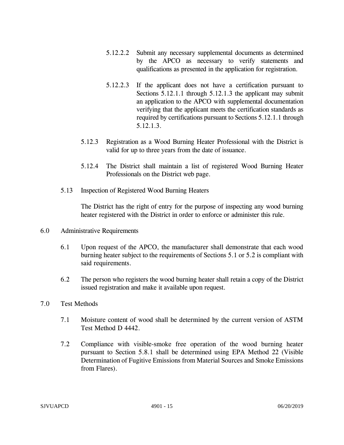- 5.12.2.2 Submit any necessary supplemental documents as determined by the APCO as necessary to verify statements and qualifications as presented in the application for registration.
- 5.12.2.3 If the applicant does not have a certification pursuant to Sections 5.12.1.1 through 5.12.1.3 the applicant may submit an application to the APCO with supplemental documentation verifying that the applicant meets the certification standards as required by certifications pursuant to Sections 5.12.1.1 through 5.12.1.3.
- 5.12.3 Registration as a Wood Burning Heater Professional with the District is valid for up to three years from the date of issuance.
- 5.12.4 The District shall maintain a list of registered Wood Burning Heater Professionals on the District web page.
- 5.13 Inspection of Registered Wood Burning Heaters

The District has the right of entry for the purpose of inspecting any wood burning heater registered with the District in order to enforce or administer this rule.

- 6.0 Administrative Requirements
	- 6.1 Upon request of the APCO, the manufacturer shall demonstrate that each wood burning heater subject to the requirements of Sections 5.1 or 5.2 is compliant with said requirements.
	- 6.2 The person who registers the wood burning heater shall retain a copy of the District issued registration and make it available upon request.
- 7.0 Test Methods
	- 7.1 Moisture content of wood shall be determined by the current version of ASTM Test Method D 4442.
	- 7.2 Compliance with visible-smoke free operation of the wood burning heater pursuant to Section 5.8.1 shall be determined using EPA Method 22 (Visible Determination of Fugitive Emissions from Material Sources and Smoke Emissions from Flares).